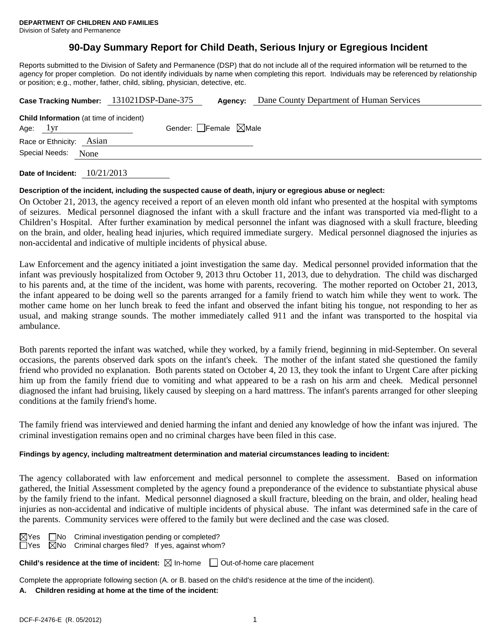Division of Safety and Permanence

# **90-Day Summary Report for Child Death, Serious Injury or Egregious Incident**

Reports submitted to the Division of Safety and Permanence (DSP) that do not include all of the required information will be returned to the agency for proper completion. Do not identify individuals by name when completing this report. Individuals may be referenced by relationship or position; e.g., mother, father, child, sibling, physician, detective, etc.

| Case Tracking Number: 131021DSP-Dane-375                     |  | Agency:                         | Dane County Department of Human Services |
|--------------------------------------------------------------|--|---------------------------------|------------------------------------------|
| <b>Child Information</b> (at time of incident)<br>Age: $1yr$ |  | Gender: Female $\boxtimes$ Male |                                          |
| Race or Ethnicity: Asian<br>Special Needs: None              |  |                                 |                                          |
|                                                              |  |                                 |                                          |

**Date of Incident:** 10/21/2013

### **Description of the incident, including the suspected cause of death, injury or egregious abuse or neglect:**

On October 21, 2013, the agency received a report of an eleven month old infant who presented at the hospital with symptoms of seizures. Medical personnel diagnosed the infant with a skull fracture and the infant was transported via med-flight to a Children's Hospital. After further examination by medical personnel the infant was diagnosed with a skull fracture, bleeding on the brain, and older, healing head injuries, which required immediate surgery. Medical personnel diagnosed the injuries as non-accidental and indicative of multiple incidents of physical abuse.

Law Enforcement and the agency initiated a joint investigation the same day. Medical personnel provided information that the infant was previously hospitalized from October 9, 2013 thru October 11, 2013, due to dehydration. The child was discharged to his parents and, at the time of the incident, was home with parents, recovering. The mother reported on October 21, 2013, the infant appeared to be doing well so the parents arranged for a family friend to watch him while they went to work. The mother came home on her lunch break to feed the infant and observed the infant biting his tongue, not responding to her as usual, and making strange sounds. The mother immediately called 911 and the infant was transported to the hospital via ambulance.

Both parents reported the infant was watched, while they worked, by a family friend, beginning in mid-September. On several occasions, the parents observed dark spots on the infant's cheek. The mother of the infant stated she questioned the family friend who provided no explanation. Both parents stated on October 4, 20 13, they took the infant to Urgent Care after picking him up from the family friend due to vomiting and what appeared to be a rash on his arm and cheek. Medical personnel diagnosed the infant had bruising, likely caused by sleeping on a hard mattress. The infant's parents arranged for other sleeping conditions at the family friend's home.

The family friend was interviewed and denied harming the infant and denied any knowledge of how the infant was injured. The criminal investigation remains open and no criminal charges have been filed in this case.

### **Findings by agency, including maltreatment determination and material circumstances leading to incident:**

The agency collaborated with law enforcement and medical personnel to complete the assessment. Based on information gathered, the Initial Assessment completed by the agency found a preponderance of the evidence to substantiate physical abuse by the family friend to the infant. Medical personnel diagnosed a skull fracture, bleeding on the brain, and older, healing head injuries as non-accidental and indicative of multiple incidents of physical abuse. The infant was determined safe in the care of the parents. Community services were offered to the family but were declined and the case was closed.

| MY<br>es |  |
|----------|--|
| Y<br>≏   |  |

| $\Box$ No Criminal investigation pending or completed?       |  |
|--------------------------------------------------------------|--|
| $\boxtimes$ No Criminal charges filed? If yes, against whom? |  |

## **Child's residence at the time of incident:** ⊠ In-home □ Out-of-home care placement

Complete the appropriate following section (A. or B. based on the child's residence at the time of the incident).

## **A. Children residing at home at the time of the incident:**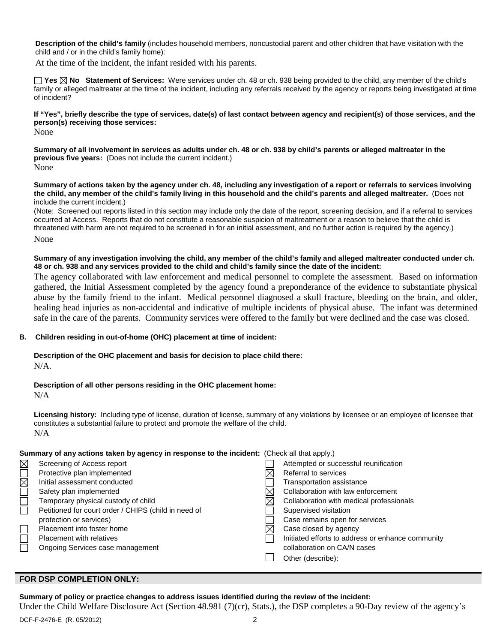**Description of the child's family** (includes household members, noncustodial parent and other children that have visitation with the child and / or in the child's family home):

At the time of the incident, the infant resided with his parents.

**Yes No Statement of Services:** Were services under ch. 48 or ch. 938 being provided to the child, any member of the child's family or alleged maltreater at the time of the incident, including any referrals received by the agency or reports being investigated at time of incident?

**If "Yes", briefly describe the type of services, date(s) of last contact between agency and recipient(s) of those services, and the person(s) receiving those services:**

None

**Summary of all involvement in services as adults under ch. 48 or ch. 938 by child's parents or alleged maltreater in the previous five years:** (Does not include the current incident.) None

**Summary of actions taken by the agency under ch. 48, including any investigation of a report or referrals to services involving the child, any member of the child's family living in this household and the child's parents and alleged maltreater.** (Does not include the current incident.)

(Note: Screened out reports listed in this section may include only the date of the report, screening decision, and if a referral to services occurred at Access. Reports that do not constitute a reasonable suspicion of maltreatment or a reason to believe that the child is threatened with harm are not required to be screened in for an initial assessment, and no further action is required by the agency.) None

### **Summary of any investigation involving the child, any member of the child's family and alleged maltreater conducted under ch. 48 or ch. 938 and any services provided to the child and child's family since the date of the incident:**

The agency collaborated with law enforcement and medical personnel to complete the assessment. Based on information gathered, the Initial Assessment completed by the agency found a preponderance of the evidence to substantiate physical abuse by the family friend to the infant. Medical personnel diagnosed a skull fracture, bleeding on the brain, and older, healing head injuries as non-accidental and indicative of multiple incidents of physical abuse. The infant was determined safe in the care of the parents. Community services were offered to the family but were declined and the case was closed.

### **B. Children residing in out-of-home (OHC) placement at time of incident:**

# **Description of the OHC placement and basis for decision to place child there:**

N/A.

### **Description of all other persons residing in the OHC placement home:**

 $N/A$ 

**Licensing history:** Including type of license, duration of license, summary of any violations by licensee or an employee of licensee that constitutes a substantial failure to protect and promote the welfare of the child. N/A

### **Summary of any actions taken by agency in response to the incident:** (Check all that apply.)

| Screening of Access report                           | Attempted or successful reunification             |
|------------------------------------------------------|---------------------------------------------------|
| Protective plan implemented                          | Referral to services                              |
| Initial assessment conducted                         | <b>Transportation assistance</b>                  |
| Safety plan implemented                              | Collaboration with law enforcement                |
| Temporary physical custody of child                  | Collaboration with medical professionals          |
| Petitioned for court order / CHIPS (child in need of | Supervised visitation                             |
| protection or services)                              | Case remains open for services                    |
| Placement into foster home                           | Case closed by agency                             |
| <b>Placement with relatives</b>                      | Initiated efforts to address or enhance community |
| Ongoing Services case management                     | collaboration on CA/N cases                       |
|                                                      | Other (describe):                                 |
|                                                      |                                                   |

#### **FOR DSP COMPLETION ONLY:**

### **Summary of policy or practice changes to address issues identified during the review of the incident:**

Under the Child Welfare Disclosure Act (Section 48.981 (7)(cr), Stats.), the DSP completes a 90-Day review of the agency's